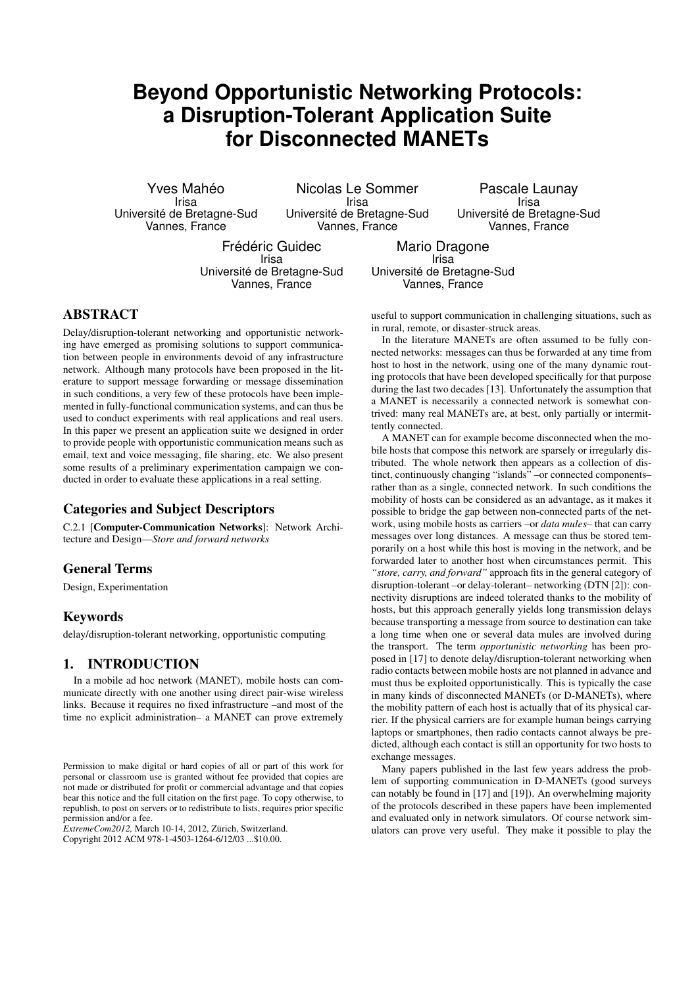# **Beyond Opportunistic Networking Protocols: a Disruption-Tolerant Application Suite for Disconnected MANETs**

Yves Mahéo Irisa Université de Bretagne-Sud Vannes, France

Nicolas Le Sommer Irisa Université de Bretagne-Sud Vannes, France

Pascale Launay Irisa Université de Bretagne-Sud Vannes, France

Frédéric Guidec Irisa Université de Bretagne-Sud Vannes, France

Mario Dragone Irisa Université de Bretagne-Sud Vannes, France

# ABSTRACT

Delay/disruption-tolerant networking and opportunistic networking have emerged as promising solutions to support communication between people in environments devoid of any infrastructure network. Although many protocols have been proposed in the literature to support message forwarding or message dissemination in such conditions, a very few of these protocols have been implemented in fully-functional communication systems, and can thus be used to conduct experiments with real applications and real users. In this paper we present an application suite we designed in order to provide people with opportunistic communication means such as email, text and voice messaging, file sharing, etc. We also present some results of a preliminary experimentation campaign we conducted in order to evaluate these applications in a real setting.

## Categories and Subject Descriptors

C.2.1 [Computer-Communication Networks]: Network Architecture and Design—*Store and forward networks*

# General Terms

Design, Experimentation

## Keywords

delay/disruption-tolerant networking, opportunistic computing

## 1. INTRODUCTION

In a mobile ad hoc network (MANET), mobile hosts can communicate directly with one another using direct pair-wise wireless links. Because it requires no fixed infrastructure –and most of the time no explicit administration– a MANET can prove extremely

*ExtremeCom2012,* March 10-14, 2012, Zürich, Switzerland. Copyright 2012 ACM 978-1-4503-1264-6/12/03 ...\$10.00.

useful to support communication in challenging situations, such as in rural, remote, or disaster-struck areas.

In the literature MANETs are often assumed to be fully connected networks: messages can thus be forwarded at any time from host to host in the network, using one of the many dynamic routing protocols that have been developed specifically for that purpose during the last two decades [13]. Unfortunately the assumption that a MANET is necessarily a connected network is somewhat contrived: many real MANETs are, at best, only partially or intermittently connected.

A MANET can for example become disconnected when the mobile hosts that compose this network are sparsely or irregularly distributed. The whole network then appears as a collection of distinct, continuously changing "islands" –or connected components– rather than as a single, connected network. In such conditions the mobility of hosts can be considered as an advantage, as it makes it possible to bridge the gap between non-connected parts of the network, using mobile hosts as carriers –or *data mules*– that can carry messages over long distances. A message can thus be stored temporarily on a host while this host is moving in the network, and be forwarded later to another host when circumstances permit. This *"store, carry, and forward"* approach fits in the general category of disruption-tolerant –or delay-tolerant– networking (DTN [2]): connectivity disruptions are indeed tolerated thanks to the mobility of hosts, but this approach generally yields long transmission delays because transporting a message from source to destination can take a long time when one or several data mules are involved during the transport. The term *opportunistic networking* has been proposed in [17] to denote delay/disruption-tolerant networking when radio contacts between mobile hosts are not planned in advance and must thus be exploited opportunistically. This is typically the case in many kinds of disconnected MANETs (or D-MANETs), where the mobility pattern of each host is actually that of its physical carrier. If the physical carriers are for example human beings carrying laptops or smartphones, then radio contacts cannot always be predicted, although each contact is still an opportunity for two hosts to exchange messages.

Many papers published in the last few years address the problem of supporting communication in D-MANETs (good surveys can notably be found in [17] and [19]). An overwhelming majority of the protocols described in these papers have been implemented and evaluated only in network simulators. Of course network simulators can prove very useful. They make it possible to play the

Permission to make digital or hard copies of all or part of this work for personal or classroom use is granted without fee provided that copies are not made or distributed for profit or commercial advantage and that copies bear this notice and the full citation on the first page. To copy otherwise, to republish, to post on servers or to redistribute to lists, requires prior specific permission and/or a fee.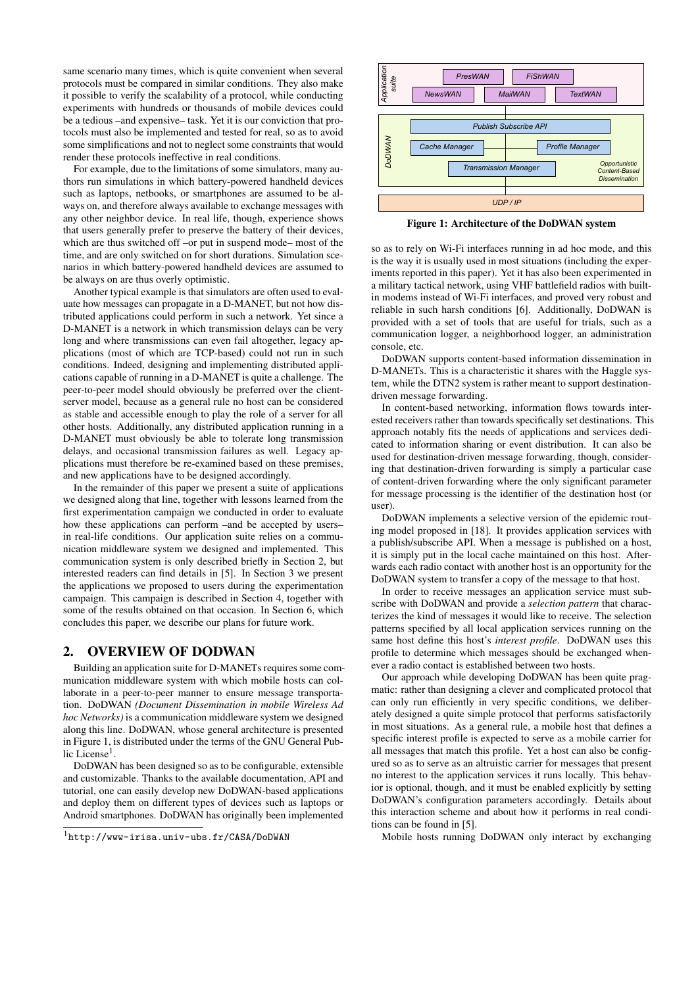same scenario many times, which is quite convenient when several protocols must be compared in similar conditions. They also make it possible to verify the scalability of a protocol, while conducting experiments with hundreds or thousands of mobile devices could be a tedious –and expensive– task. Yet it is our conviction that protocols must also be implemented and tested for real, so as to avoid some simplifications and not to neglect some constraints that would render these protocols ineffective in real conditions.

For example, due to the limitations of some simulators, many authors run simulations in which battery-powered handheld devices such as laptops, netbooks, or smartphones are assumed to be always on, and therefore always available to exchange messages with any other neighbor device. In real life, though, experience shows that users generally prefer to preserve the battery of their devices, which are thus switched off –or put in suspend mode– most of the time, and are only switched on for short durations. Simulation scenarios in which battery-powered handheld devices are assumed to be always on are thus overly optimistic.

Another typical example is that simulators are often used to evaluate how messages can propagate in a D-MANET, but not how distributed applications could perform in such a network. Yet since a D-MANET is a network in which transmission delays can be very long and where transmissions can even fail altogether, legacy applications (most of which are TCP-based) could not run in such conditions. Indeed, designing and implementing distributed applications capable of running in a D-MANET is quite a challenge. The peer-to-peer model should obviously be preferred over the clientserver model, because as a general rule no host can be considered as stable and accessible enough to play the role of a server for all other hosts. Additionally, any distributed application running in a D-MANET must obviously be able to tolerate long transmission delays, and occasional transmission failures as well. Legacy applications must therefore be re-examined based on these premises, and new applications have to be designed accordingly.

In the remainder of this paper we present a suite of applications we designed along that line, together with lessons learned from the first experimentation campaign we conducted in order to evaluate how these applications can perform –and be accepted by users– in real-life conditions. Our application suite relies on a communication middleware system we designed and implemented. This communication system is only described briefly in Section 2, but interested readers can find details in [5]. In Section 3 we present the applications we proposed to users during the experimentation campaign. This campaign is described in Section 4, together with some of the results obtained on that occasion. In Section 6, which concludes this paper, we describe our plans for future work.

## 2. OVERVIEW OF DODWAN

Building an application suite for D-MANETs requires some communication middleware system with which mobile hosts can collaborate in a peer-to-peer manner to ensure message transportation. DoDWAN *(Document Dissemination in mobile Wireless Ad hoc Networks)* is a communication middleware system we designed along this line. DoDWAN, whose general architecture is presented in Figure 1, is distributed under the terms of the GNU General Public License<sup>1</sup> .

DoDWAN has been designed so as to be configurable, extensible and customizable. Thanks to the available documentation, API and tutorial, one can easily develop new DoDWAN-based applications and deploy them on different types of devices such as laptops or Android smartphones. DoDWAN has originally been implemented



Figure 1: Architecture of the DoDWAN system

so as to rely on Wi-Fi interfaces running in ad hoc mode, and this is the way it is usually used in most situations (including the experiments reported in this paper). Yet it has also been experimented in a military tactical network, using VHF battlefield radios with builtin modems instead of Wi-Fi interfaces, and proved very robust and reliable in such harsh conditions [6]. Additionally, DoDWAN is provided with a set of tools that are useful for trials, such as a communication logger, a neighborhood logger, an administration console, etc.

DoDWAN supports content-based information dissemination in D-MANETs. This is a characteristic it shares with the Haggle system, while the DTN2 system is rather meant to support destinationdriven message forwarding.

In content-based networking, information flows towards interested receivers rather than towards specifically set destinations. This approach notably fits the needs of applications and services dedicated to information sharing or event distribution. It can also be used for destination-driven message forwarding, though, considering that destination-driven forwarding is simply a particular case of content-driven forwarding where the only significant parameter for message processing is the identifier of the destination host (or user).

DoDWAN implements a selective version of the epidemic routing model proposed in [18]. It provides application services with a publish/subscribe API. When a message is published on a host, it is simply put in the local cache maintained on this host. Afterwards each radio contact with another host is an opportunity for the DoDWAN system to transfer a copy of the message to that host.

In order to receive messages an application service must subscribe with DoDWAN and provide a *selection pattern* that characterizes the kind of messages it would like to receive. The selection patterns specified by all local application services running on the same host define this host's *interest profile*. DoDWAN uses this profile to determine which messages should be exchanged whenever a radio contact is established between two hosts.

Our approach while developing DoDWAN has been quite pragmatic: rather than designing a clever and complicated protocol that can only run efficiently in very specific conditions, we deliberately designed a quite simple protocol that performs satisfactorily in most situations. As a general rule, a mobile host that defines a specific interest profile is expected to serve as a mobile carrier for all messages that match this profile. Yet a host can also be configured so as to serve as an altruistic carrier for messages that present no interest to the application services it runs locally. This behavior is optional, though, and it must be enabled explicitly by setting DoDWAN's configuration parameters accordingly. Details about this interaction scheme and about how it performs in real conditions can be found in [5].

Mobile hosts running DoDWAN only interact by exchanging

<sup>1</sup>http://www-irisa.univ-ubs.fr/CASA/DoDWAN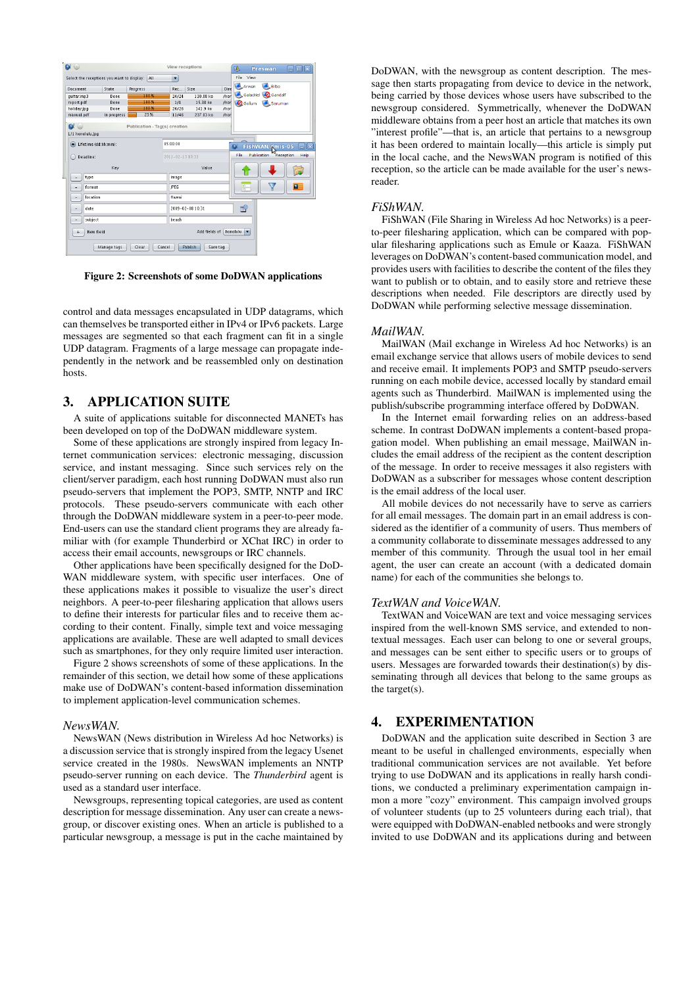

Figure 2: Screenshots of some DoDWAN applications

control and data messages encapsulated in UDP datagrams, which can themselves be transported either in IPv4 or IPv6 packets. Large messages are segmented so that each fragment can fit in a single UDP datagram. Fragments of a large message can propagate independently in the network and be reassembled only on destination hosts.

## 3. APPLICATION SUITE

A suite of applications suitable for disconnected MANETs has been developed on top of the DoDWAN middleware system.

Some of these applications are strongly inspired from legacy Internet communication services: electronic messaging, discussion service, and instant messaging. Since such services rely on the client/server paradigm, each host running DoDWAN must also run pseudo-servers that implement the POP3, SMTP, NNTP and IRC protocols. These pseudo-servers communicate with each other through the DoDWAN middleware system in a peer-to-peer mode. End-users can use the standard client programs they are already familiar with (for example Thunderbird or XChat IRC) in order to access their email accounts, newsgroups or IRC channels.

Other applications have been specifically designed for the DoD-WAN middleware system, with specific user interfaces. One of these applications makes it possible to visualize the user's direct neighbors. A peer-to-peer filesharing application that allows users to define their interests for particular files and to receive them according to their content. Finally, simple text and voice messaging applications are available. These are well adapted to small devices such as smartphones, for they only require limited user interaction.

Figure 2 shows screenshots of some of these applications. In the remainder of this section, we detail how some of these applications make use of DoDWAN's content-based information dissemination to implement application-level communication schemes.

#### *NewsWAN.*

NewsWAN (News distribution in Wireless Ad hoc Networks) is a discussion service that is strongly inspired from the legacy Usenet service created in the 1980s. NewsWAN implements an NNTP pseudo-server running on each device. The *Thunderbird* agent is used as a standard user interface.

Newsgroups, representing topical categories, are used as content description for message dissemination. Any user can create a newsgroup, or discover existing ones. When an article is published to a particular newsgroup, a message is put in the cache maintained by

DoDWAN, with the newsgroup as content description. The message then starts propagating from device to device in the network, being carried by those devices whose users have subscribed to the newsgroup considered. Symmetrically, whenever the DoDWAN middleware obtains from a peer host an article that matches its own "interest profile"—that is, an article that pertains to a newsgroup it has been ordered to maintain locally—this article is simply put in the local cache, and the NewsWAN program is notified of this reception, so the article can be made available for the user's newsreader.

#### *FiShWAN.*

FiShWAN (File Sharing in Wireless Ad hoc Networks) is a peerto-peer filesharing application, which can be compared with popular filesharing applications such as Emule or Kaaza. FiShWAN leverages on DoDWAN's content-based communication model, and provides users with facilities to describe the content of the files they want to publish or to obtain, and to easily store and retrieve these descriptions when needed. File descriptors are directly used by DoDWAN while performing selective message dissemination.

#### *MailWAN.*

MailWAN (Mail exchange in Wireless Ad hoc Networks) is an email exchange service that allows users of mobile devices to send and receive email. It implements POP3 and SMTP pseudo-servers running on each mobile device, accessed locally by standard email agents such as Thunderbird. MailWAN is implemented using the publish/subscribe programming interface offered by DoDWAN.

In the Internet email forwarding relies on an address-based scheme. In contrast DoDWAN implements a content-based propagation model. When publishing an email message, MailWAN includes the email address of the recipient as the content description of the message. In order to receive messages it also registers with DoDWAN as a subscriber for messages whose content description is the email address of the local user.

All mobile devices do not necessarily have to serve as carriers for all email messages. The domain part in an email address is considered as the identifier of a community of users. Thus members of a community collaborate to disseminate messages addressed to any member of this community. Through the usual tool in her email agent, the user can create an account (with a dedicated domain name) for each of the communities she belongs to.

### *TextWAN and VoiceWAN.*

TextWAN and VoiceWAN are text and voice messaging services inspired from the well-known SMS service, and extended to nontextual messages. Each user can belong to one or several groups, and messages can be sent either to specific users or to groups of users. Messages are forwarded towards their destination(s) by disseminating through all devices that belong to the same groups as the target(s).

# 4. EXPERIMENTATION

DoDWAN and the application suite described in Section 3 are meant to be useful in challenged environments, especially when traditional communication services are not available. Yet before trying to use DoDWAN and its applications in really harsh conditions, we conducted a preliminary experimentation campaign inmon a more "cozy" environment. This campaign involved groups of volunteer students (up to 25 volunteers during each trial), that were equipped with DoDWAN-enabled netbooks and were strongly invited to use DoDWAN and its applications during and between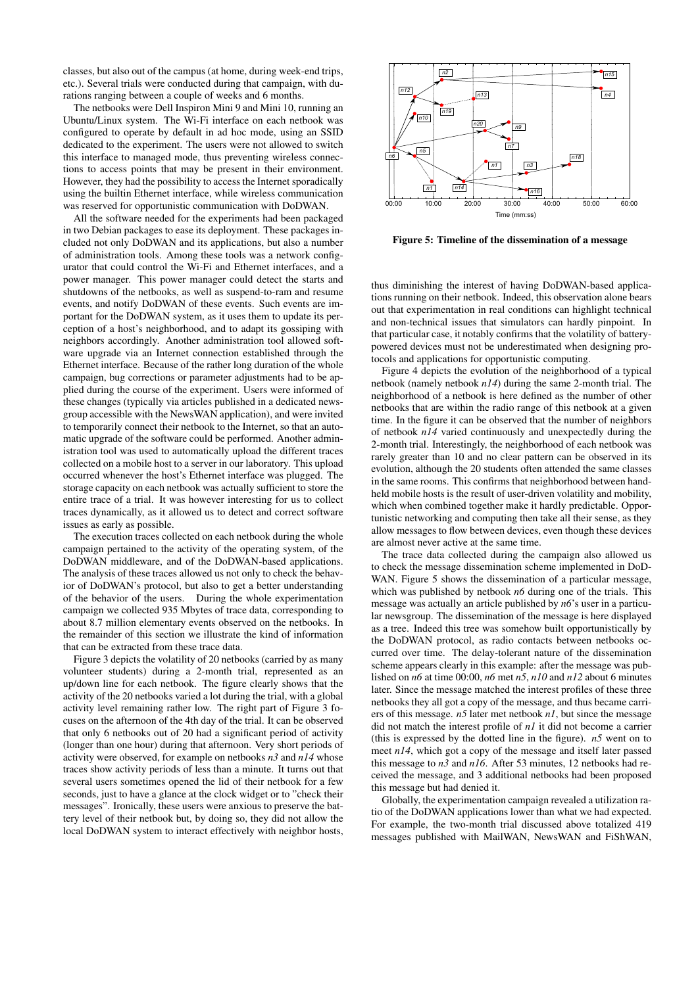classes, but also out of the campus (at home, during week-end trips, etc.). Several trials were conducted during that campaign, with durations ranging between a couple of weeks and 6 months.

The netbooks were Dell Inspiron Mini 9 and Mini 10, running an Ubuntu/Linux system. The Wi-Fi interface on each netbook was configured to operate by default in ad hoc mode, using an SSID dedicated to the experiment. The users were not allowed to switch this interface to managed mode, thus preventing wireless connections to access points that may be present in their environment. However, they had the possibility to access the Internet sporadically using the builtin Ethernet interface, while wireless communication was reserved for opportunistic communication with DoDWAN.

All the software needed for the experiments had been packaged in two Debian packages to ease its deployment. These packages included not only DoDWAN and its applications, but also a number of administration tools. Among these tools was a network configurator that could control the Wi-Fi and Ethernet interfaces, and a power manager. This power manager could detect the starts and shutdowns of the netbooks, as well as suspend-to-ram and resume events, and notify DoDWAN of these events. Such events are important for the DoDWAN system, as it uses them to update its perception of a host's neighborhood, and to adapt its gossiping with neighbors accordingly. Another administration tool allowed software upgrade via an Internet connection established through the Ethernet interface. Because of the rather long duration of the whole campaign, bug corrections or parameter adjustments had to be applied during the course of the experiment. Users were informed of these changes (typically via articles published in a dedicated newsgroup accessible with the NewsWAN application), and were invited to temporarily connect their netbook to the Internet, so that an automatic upgrade of the software could be performed. Another administration tool was used to automatically upload the different traces collected on a mobile host to a server in our laboratory. This upload occurred whenever the host's Ethernet interface was plugged. The storage capacity on each netbook was actually sufficient to store the entire trace of a trial. It was however interesting for us to collect traces dynamically, as it allowed us to detect and correct software issues as early as possible.

The execution traces collected on each netbook during the whole campaign pertained to the activity of the operating system, of the DoDWAN middleware, and of the DoDWAN-based applications. The analysis of these traces allowed us not only to check the behavior of DoDWAN's protocol, but also to get a better understanding of the behavior of the users. During the whole experimentation campaign we collected 935 Mbytes of trace data, corresponding to about 8.7 million elementary events observed on the netbooks. In the remainder of this section we illustrate the kind of information that can be extracted from these trace data.

Figure 3 depicts the volatility of 20 netbooks (carried by as many volunteer students) during a 2-month trial, represented as an up/down line for each netbook. The figure clearly shows that the activity of the 20 netbooks varied a lot during the trial, with a global activity level remaining rather low. The right part of Figure 3 focuses on the afternoon of the 4th day of the trial. It can be observed that only 6 netbooks out of 20 had a significant period of activity (longer than one hour) during that afternoon. Very short periods of activity were observed, for example on netbooks *n3* and *n14* whose traces show activity periods of less than a minute. It turns out that several users sometimes opened the lid of their netbook for a few seconds, just to have a glance at the clock widget or to "check their messages". Ironically, these users were anxious to preserve the battery level of their netbook but, by doing so, they did not allow the local DoDWAN system to interact effectively with neighbor hosts,



Figure 5: Timeline of the dissemination of a message

thus diminishing the interest of having DoDWAN-based applications running on their netbook. Indeed, this observation alone bears out that experimentation in real conditions can highlight technical and non-technical issues that simulators can hardly pinpoint. In that particular case, it notably confirms that the volatility of batterypowered devices must not be underestimated when designing protocols and applications for opportunistic computing.

Figure 4 depicts the evolution of the neighborhood of a typical netbook (namely netbook *n14*) during the same 2-month trial. The neighborhood of a netbook is here defined as the number of other netbooks that are within the radio range of this netbook at a given time. In the figure it can be observed that the number of neighbors of netbook *n14* varied continuously and unexpectedly during the 2-month trial. Interestingly, the neighborhood of each netbook was rarely greater than 10 and no clear pattern can be observed in its evolution, although the 20 students often attended the same classes in the same rooms. This confirms that neighborhood between handheld mobile hosts is the result of user-driven volatility and mobility, which when combined together make it hardly predictable. Opportunistic networking and computing then take all their sense, as they allow messages to flow between devices, even though these devices are almost never active at the same time.

The trace data collected during the campaign also allowed us to check the message dissemination scheme implemented in DoD-WAN. Figure 5 shows the dissemination of a particular message, which was published by netbook *n6* during one of the trials. This message was actually an article published by *n6*'s user in a particular newsgroup. The dissemination of the message is here displayed as a tree. Indeed this tree was somehow built opportunistically by the DoDWAN protocol, as radio contacts between netbooks occurred over time. The delay-tolerant nature of the dissemination scheme appears clearly in this example: after the message was published on *n6* at time 00:00, *n6* met *n5*, *n10* and *n12* about 6 minutes later. Since the message matched the interest profiles of these three netbooks they all got a copy of the message, and thus became carriers of this message. *n5* later met netbook *n1*, but since the message did not match the interest profile of *n1* it did not become a carrier (this is expressed by the dotted line in the figure). *n5* went on to meet *n14*, which got a copy of the message and itself later passed this message to *n3* and *n16*. After 53 minutes, 12 netbooks had received the message, and 3 additional netbooks had been proposed this message but had denied it.

Globally, the experimentation campaign revealed a utilization ratio of the DoDWAN applications lower than what we had expected. For example, the two-month trial discussed above totalized 419 messages published with MailWAN, NewsWAN and FiShWAN,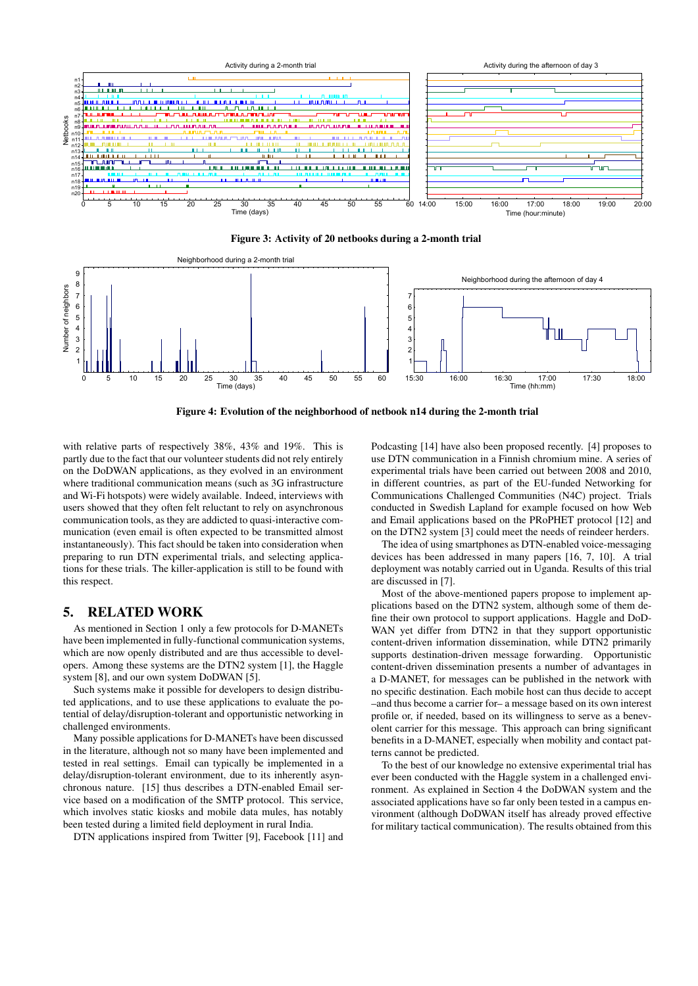

Figure 3: Activity of 20 netbooks during a 2-month trial



Figure 4: Evolution of the neighborhood of netbook n14 during the 2-month trial

with relative parts of respectively 38%, 43% and 19%. This is partly due to the fact that our volunteer students did not rely entirely on the DoDWAN applications, as they evolved in an environment where traditional communication means (such as 3G infrastructure and Wi-Fi hotspots) were widely available. Indeed, interviews with users showed that they often felt reluctant to rely on asynchronous communication tools, as they are addicted to quasi-interactive communication (even email is often expected to be transmitted almost instantaneously). This fact should be taken into consideration when preparing to run DTN experimental trials, and selecting applications for these trials. The killer-application is still to be found with this respect.

## 5. RELATED WORK

As mentioned in Section 1 only a few protocols for D-MANETs have been implemented in fully-functional communication systems, which are now openly distributed and are thus accessible to developers. Among these systems are the DTN2 system [1], the Haggle system [8], and our own system DoDWAN [5].

Such systems make it possible for developers to design distributed applications, and to use these applications to evaluate the potential of delay/disruption-tolerant and opportunistic networking in challenged environments.

Many possible applications for D-MANETs have been discussed in the literature, although not so many have been implemented and tested in real settings. Email can typically be implemented in a delay/disruption-tolerant environment, due to its inherently asynchronous nature. [15] thus describes a DTN-enabled Email service based on a modification of the SMTP protocol. This service, which involves static kiosks and mobile data mules, has notably been tested during a limited field deployment in rural India.

DTN applications inspired from Twitter [9], Facebook [11] and

Podcasting [14] have also been proposed recently. [4] proposes to use DTN communication in a Finnish chromium mine. A series of experimental trials have been carried out between 2008 and 2010, in different countries, as part of the EU-funded Networking for Communications Challenged Communities (N4C) project. Trials conducted in Swedish Lapland for example focused on how Web and Email applications based on the PRoPHET protocol [12] and on the DTN2 system [3] could meet the needs of reindeer herders.

The idea of using smartphones as DTN-enabled voice-messaging devices has been addressed in many papers [16, 7, 10]. A trial deployment was notably carried out in Uganda. Results of this trial are discussed in [7].

Most of the above-mentioned papers propose to implement applications based on the DTN2 system, although some of them define their own protocol to support applications. Haggle and DoD-WAN yet differ from DTN2 in that they support opportunistic content-driven information dissemination, while DTN2 primarily supports destination-driven message forwarding. Opportunistic content-driven dissemination presents a number of advantages in a D-MANET, for messages can be published in the network with no specific destination. Each mobile host can thus decide to accept –and thus become a carrier for– a message based on its own interest profile or, if needed, based on its willingness to serve as a benevolent carrier for this message. This approach can bring significant benefits in a D-MANET, especially when mobility and contact patterns cannot be predicted.

To the best of our knowledge no extensive experimental trial has ever been conducted with the Haggle system in a challenged environment. As explained in Section 4 the DoDWAN system and the associated applications have so far only been tested in a campus environment (although DoDWAN itself has already proved effective for military tactical communication). The results obtained from this